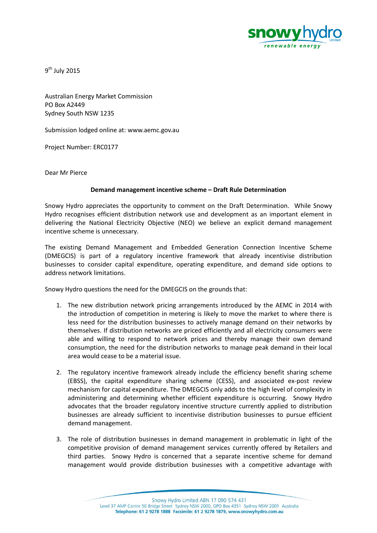

9<sup>th</sup> July 2015

Australian Energy Market Commission PO Box A2449 Sydney South NSW 1235

Submission lodged online at: www.aemc.gov.au

Project Number: ERC0177

Dear Mr Pierce

## **Demand management incentive scheme – Draft Rule Determination**

Snowy Hydro appreciates the opportunity to comment on the Draft Determination. While Snowy Hydro recognises efficient distribution network use and development as an important element in delivering the National Electricity Objective (NEO) we believe an explicit demand management incentive scheme is unnecessary.

The existing Demand Management and Embedded Generation Connection Incentive Scheme (DMEGCIS) is part of a regulatory incentive framework that already incentivise distribution businesses to consider capital expenditure, operating expenditure, and demand side options to address network limitations.

Snowy Hydro questions the need for the DMEGCIS on the grounds that:

- 1. The new distribution network pricing arrangements introduced by the AEMC in 2014 with the introduction of competition in metering is likely to move the market to where there is less need for the distribution businesses to actively manage demand on their networks by themselves. If distribution networks are priced efficiently and all electricity consumers were able and willing to respond to network prices and thereby manage their own demand consumption, the need for the distribution networks to manage peak demand in their local area would cease to be a material issue.
- 2. The regulatory incentive framework already include the efficiency benefit sharing scheme (EBSS), the capital expenditure sharing scheme (CESS), and associated ex-post review mechanism for capital expenditure. The DMEGCIS only adds to the high level of complexity in administering and determining whether efficient expenditure is occurring. Snowy Hydro advocates that the broader regulatory incentive structure currently applied to distribution businesses are already sufficient to incentivise distribution businesses to pursue efficient demand management.
- 3. The role of distribution businesses in demand management in problematic in light of the competitive provision of demand management services currently offered by Retailers and third parties. Snowy Hydro is concerned that a separate incentive scheme for demand management would provide distribution businesses with a competitive advantage with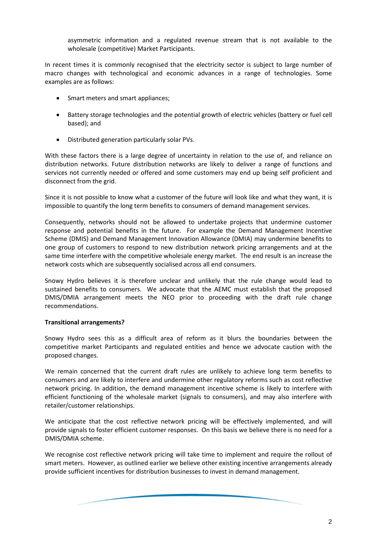asymmetric information and a regulated revenue stream that is not available to the wholesale (competitive) Market Participants.

In recent times it is commonly recognised that the electricity sector is subject to large number of macro changes with technological and economic advances in a range of technologies. Some examples are as follows:

- Smart meters and smart appliances;
- Battery storage technologies and the potential growth of electric vehicles (battery or fuel cell based); and
- Distributed generation particularly solar PVs.

With these factors there is a large degree of uncertainty in relation to the use of, and reliance on distribution networks. Future distribution networks are likely to deliver a range of functions and services not currently needed or offered and some customers may end up being self proficient and disconnect from the grid.

Since it is not possible to know what a customer of the future will look like and what they want, it is impossible to quantify the long term benefits to consumers of demand management services.

Consequently, networks should not be allowed to undertake projects that undermine customer response and potential benefits in the future. For example the Demand Management Incentive Scheme (DMIS) and Demand Management Innovation Allowance (DMIA) may undermine benefits to one group of customers to respond to new distribution network pricing arrangements and at the same time interfere with the competitive wholesale energy market. The end result is an increase the network costs which are subsequently socialised across all end consumers.

Snowy Hydro believes it is therefore unclear and unlikely that the rule change would lead to sustained benefits to consumers. We advocate that the AEMC must establish that the proposed DMIS/DMIA arrangement meets the NEO prior to proceeding with the draft rule change recommendations.

## **Transitional arrangements?**

Snowy Hydro sees this as a difficult area of reform as it blurs the boundaries between the competitive market Participants and regulated entities and hence we advocate caution with the proposed changes.

We remain concerned that the current draft rules are unlikely to achieve long term benefits to consumers and are likely to interfere and undermine other regulatory reforms such as cost reflective network pricing. In addition, the demand management incentive scheme is likely to interfere with efficient functioning of the wholesale market (signals to consumers), and may also interfere with retailer/customer relationships.

We anticipate that the cost reflective network pricing will be effectively implemented, and will provide signals to foster efficient customer responses. On this basis we believe there is no need for a DMIS/DMIA scheme.

We recognise cost reflective network pricing will take time to implement and require the rollout of smart meters. However, as outlined earlier we believe other existing incentive arrangements already provide sufficient incentives for distribution businesses to invest in demand management.